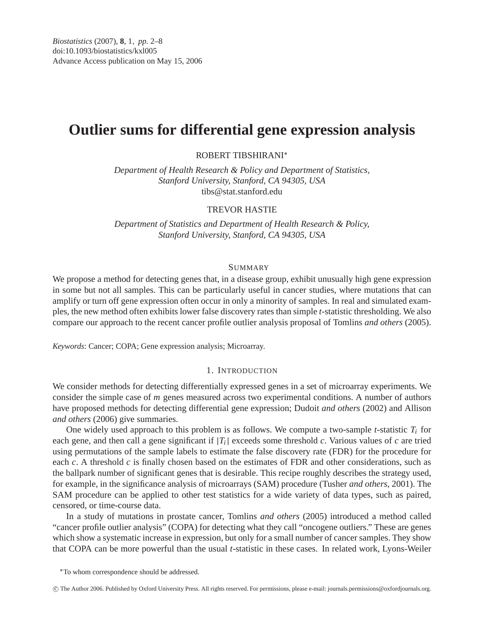# **Outlier sums for differential gene expression analysis**

ROBERT TIBSHIRANI∗

*Department of Health Research & Policy and Department of Statistics, Stanford University, Stanford, CA 94305, USA* tibs@stat.stanford.edu

## TREVOR HASTIE

*Department of Statistics and Department of Health Research & Policy, Stanford University, Stanford, CA 94305, USA*

# SUMMARY

We propose a method for detecting genes that, in a disease group, exhibit unusually high gene expression in some but not all samples. This can be particularly useful in cancer studies, where mutations that can amplify or turn off gene expression often occur in only a minority of samples. In real and simulated examples, the new method often exhibits lower false discovery rates than simple *t*-statistic thresholding. We also compare our approach to the recent cancer profile outlier analysis proposal of Tomlins *and others* (2005).

*Keywords*: Cancer; COPA; Gene expression analysis; Microarray.

# 1. INTRODUCTION

We consider methods for detecting differentially expressed genes in a set of microarray experiments. We consider the simple case of *m* genes measured across two experimental conditions. A number of authors have proposed methods for detecting differential gene expression; Dudoit *and others* (2002) and Allison *and others* (2006) give summaries.

One widely used approach to this problem is as follows. We compute a two-sample *t*-statistic  $T_i$  for each gene, and then call a gene significant if  $|T_i|$  exceeds some threshold *c*. Various values of *c* are tried using permutations of the sample labels to estimate the false discovery rate (FDR) for the procedure for each *c*. A threshold *c* is finally chosen based on the estimates of FDR and other considerations, such as the ballpark number of significant genes that is desirable. This recipe roughly describes the strategy used, for example, in the significance analysis of microarrays (SAM) procedure (Tusher *and others*, 2001). The SAM procedure can be applied to other test statistics for a wide variety of data types, such as paired, censored, or time-course data.

In a study of mutations in prostate cancer, Tomlins *and others* (2005) introduced a method called "cancer profile outlier analysis" (COPA) for detecting what they call "oncogene outliers." These are genes which show a systematic increase in expression, but only for a small number of cancer samples. They show that COPA can be more powerful than the usual *t*-statistic in these cases. In related work, Lyons-Weiler

∗To whom correspondence should be addressed.

-c The Author 2006. Published by Oxford University Press. All rights reserved. For permissions, please e-mail: journals.permissions@oxfordjournals.org.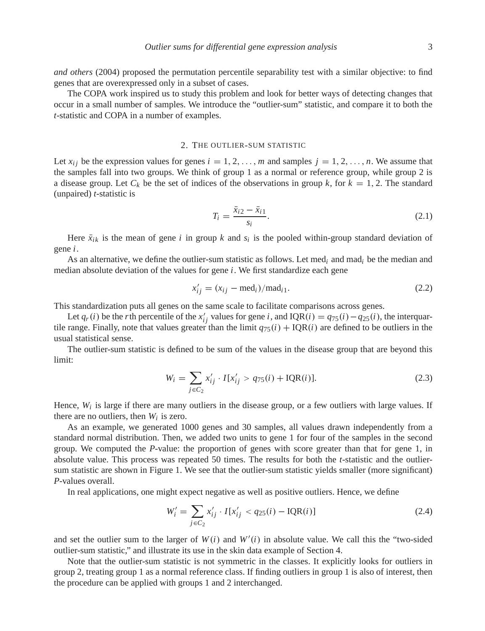*and others* (2004) proposed the permutation percentile separability test with a similar objective: to find genes that are overexpressed only in a subset of cases.

The COPA work inspired us to study this problem and look for better ways of detecting changes that occur in a small number of samples. We introduce the "outlier-sum" statistic, and compare it to both the *t*-statistic and COPA in a number of examples.

#### 2. THE OUTLIER-SUM STATISTIC

Let  $x_{ij}$  be the expression values for genes  $i = 1, 2, \ldots, m$  and samples  $j = 1, 2, \ldots, n$ . We assume that the samples fall into two groups. We think of group 1 as a normal or reference group, while group 2 is a disease group. Let  $C_k$  be the set of indices of the observations in group k, for  $k = 1, 2$ . The standard (unpaired) *t*-statistic is

$$
T_i = \frac{\bar{x}_{i2} - \bar{x}_{i1}}{s_i}.
$$
\n(2.1)

Here  $\bar{x}_{ik}$  is the mean of gene *i* in group *k* and  $s_i$  is the pooled within-group standard deviation of gene *i*.

As an alternative, we define the outlier-sum statistic as follows. Let med*i* and mad*i* be the median and median absolute deviation of the values for gene *i*. We first standardize each gene

$$
x'_{ij} = (x_{ij} - \text{med}_i) / \text{mad}_{i1}.
$$
\n
$$
(2.2)
$$

This standardization puts all genes on the same scale to facilitate comparisons across genes.

Let  $q_r(i)$  be the *r*th percentile of the  $x'_{ij}$  values for gene *i*, and IQR(*i*) =  $q_{75}(i) - q_{25}(i)$ , the interquartile range. Finally, note that values greater than the limit  $q_{75}(i) + IQR(i)$  are defined to be outliers in the usual statistical sense.

The outlier-sum statistic is defined to be sum of the values in the disease group that are beyond this limit:

$$
W_i = \sum_{j \in C_2} x'_{ij} \cdot I[x'_{ij} > q_{75}(i) + IQR(i)].
$$
\n(2.3)

Hence,  $W_i$  is large if there are many outliers in the disease group, or a few outliers with large values. If there are no outliers, then *Wi* is zero.

As an example, we generated 1000 genes and 30 samples, all values drawn independently from a standard normal distribution. Then, we added two units to gene 1 for four of the samples in the second group. We computed the *P*-value: the proportion of genes with score greater than that for gene 1, in absolute value. This process was repeated 50 times. The results for both the *t*-statistic and the outliersum statistic are shown in Figure 1. We see that the outlier-sum statistic yields smaller (more significant) *P*-values overall.

In real applications, one might expect negative as well as positive outliers. Hence, we define

$$
W'_{i} = \sum_{j \in C_{2}} x'_{ij} \cdot I[x'_{ij} < q_{25}(i) - \text{IQR}(i)] \tag{2.4}
$$

and set the outlier sum to the larger of  $W(i)$  and  $W'(i)$  in absolute value. We call this the "two-sided outlier-sum statistic," and illustrate its use in the skin data example of Section 4.

Note that the outlier-sum statistic is not symmetric in the classes. It explicitly looks for outliers in group 2, treating group 1 as a normal reference class. If finding outliers in group 1 is also of interest, then the procedure can be applied with groups 1 and 2 interchanged.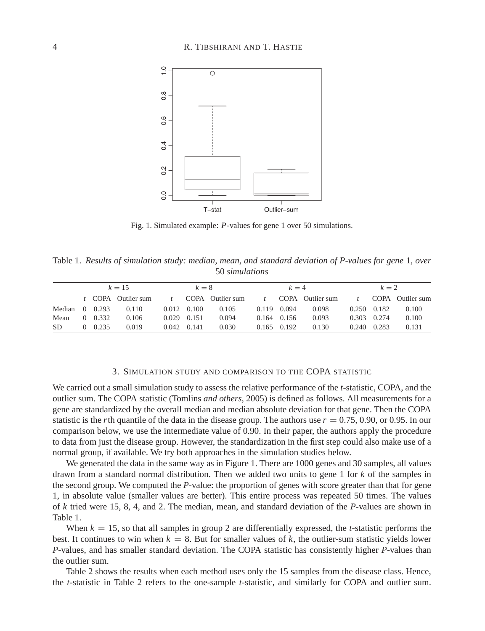

Fig. 1. Simulated example: *P*-values for gene 1 over 50 simulations.

Table 1. *Results of simulation study: median, mean, and standard deviation of P-values for gene* 1*, over* 50 *simulations*

|                  | $k = 15$ |       |                    | $k=8$ |                     |                  | $k=4$        |                 |                  | $k=2$ |       |                  |
|------------------|----------|-------|--------------------|-------|---------------------|------------------|--------------|-----------------|------------------|-------|-------|------------------|
|                  |          |       | t COPA Outlier sum |       |                     | COPA Outlier sum | $\mathbf{f}$ |                 | COPA Outlier sum |       |       | COPA Outlier sum |
| Median $0$ 0.293 |          |       | 0.110              |       | $0.012 \quad 0.100$ | 0.105            | 0.119        | 0.094           | 0.098            | 0.250 | 0.182 | 0.100            |
| Mean             | $\Omega$ | 0.332 | 0.106              |       | $0.029$ 0.151       | 0.094            |              | $0.164$ $0.156$ | 0.093            | 0.303 | 0.274 | 0.100            |
| SD.              | $\Omega$ | 0.235 | 0.019              |       | $0.042$ 0.141       | 0.030            |              | $0.165$ $0.192$ | 0.130            | 0.240 | 0.283 | 0.131            |

#### 3. SIMULATION STUDY AND COMPARISON TO THE COPA STATISTIC

We carried out a small simulation study to assess the relative performance of the *t*-statistic, COPA, and the outlier sum. The COPA statistic (Tomlins *and others*, 2005) is defined as follows. All measurements for a gene are standardized by the overall median and median absolute deviation for that gene. Then the COPA statistic is the *r*th quantile of the data in the disease group. The authors use  $r = 0.75$ , 0.90, or 0.95. In our comparison below, we use the intermediate value of 0.90. In their paper, the authors apply the procedure to data from just the disease group. However, the standardization in the first step could also make use of a normal group, if available. We try both approaches in the simulation studies below.

We generated the data in the same way as in Figure 1. There are 1000 genes and 30 samples, all values drawn from a standard normal distribution. Then we added two units to gene 1 for *k* of the samples in the second group. We computed the *P*-value: the proportion of genes with score greater than that for gene 1, in absolute value (smaller values are better). This entire process was repeated 50 times. The values of *k* tried were 15, 8, 4, and 2. The median, mean, and standard deviation of the *P*-values are shown in Table 1.

When  $k = 15$ , so that all samples in group 2 are differentially expressed, the *t*-statistic performs the best. It continues to win when  $k = 8$ . But for smaller values of  $k$ , the outlier-sum statistic yields lower *P*-values, and has smaller standard deviation. The COPA statistic has consistently higher *P*-values than the outlier sum.

Table 2 shows the results when each method uses only the 15 samples from the disease class. Hence, the *t*-statistic in Table 2 refers to the one-sample *t*-statistic, and similarly for COPA and outlier sum.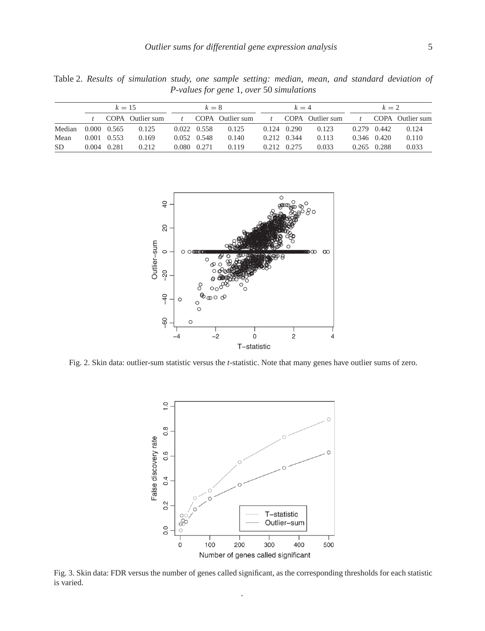| <i>P-values for gene 1, over 50 simulations</i> |          |                                                                           |  |       |                         |  |       |                         |  |       |                         |  |
|-------------------------------------------------|----------|---------------------------------------------------------------------------|--|-------|-------------------------|--|-------|-------------------------|--|-------|-------------------------|--|
|                                                 | $k = 15$ |                                                                           |  | $k=8$ |                         |  | $k=4$ |                         |  | $k=2$ |                         |  |
|                                                 |          | COPA Outlier sum t COPA Outlier sum t COPA Outlier sum t COPA Outlier sum |  |       |                         |  |       |                         |  |       |                         |  |
|                                                 |          | Median 0.000 0.565 0.125                                                  |  |       | $0.022$ $0.558$ $0.125$ |  |       | $0.124$ $0.290$ $0.123$ |  |       | $0.279$ $0.442$ $0.124$ |  |

Mean 0.001 0.553 0.169 0.052 0.548 0.140 0.212 0.344 0.113 0.346 0.420 0.110 SD 0.004 0.281 0.212 0.080 0.271 0.119 0.212 0.275 0.033 0.265 0.288 0.033

Table 2. *Results of simulation study, one sample setting: median, mean, and standard deviation of*



Fig. 2. Skin data: outlier-sum statistic versus the *t*-statistic. Note that many genes have outlier sums of zero.



Fig. 3. Skin data: FDR versus the number of genes called significant, as the corresponding thresholds for each statistic is varied. .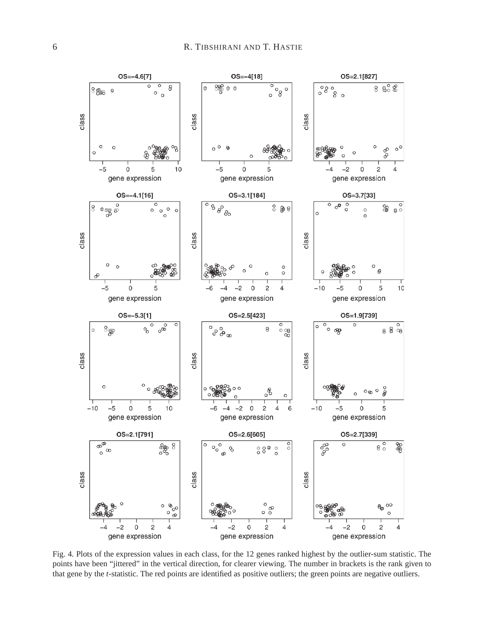

Fig. 4. Plots of the expression values in each class, for the 12 genes ranked highest by the outlier-sum statistic. The points have been "jittered" in the vertical direction, for clearer viewing. The number in brackets is the rank given to that gene by the *t*-statistic. The red points are identified as positive outliers; the green points are negative outliers.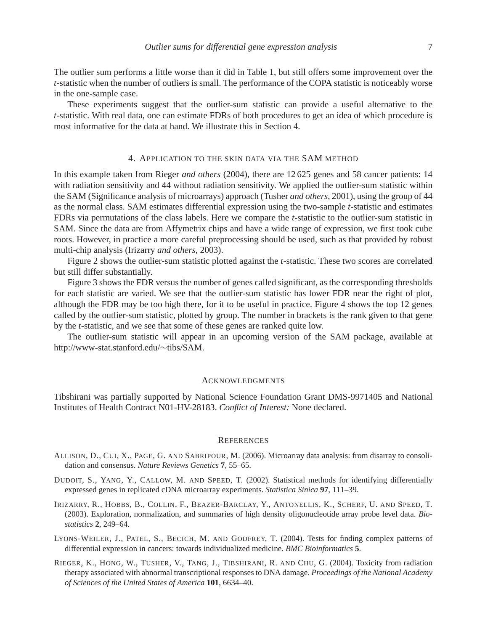The outlier sum performs a little worse than it did in Table 1, but still offers some improvement over the *t*-statistic when the number of outliers is small. The performance of the COPA statistic is noticeably worse in the one-sample case.

These experiments suggest that the outlier-sum statistic can provide a useful alternative to the *t*-statistic. With real data, one can estimate FDRs of both procedures to get an idea of which procedure is most informative for the data at hand. We illustrate this in Section 4.

# 4. APPLICATION TO THE SKIN DATA VIA THE SAM METHOD

In this example taken from Rieger *and others* (2004), there are 12 625 genes and 58 cancer patients: 14 with radiation sensitivity and 44 without radiation sensitivity. We applied the outlier-sum statistic within the SAM (Significance analysis of microarrays) approach (Tusher *and others*, 2001), using the group of 44 as the normal class. SAM estimates differential expression using the two-sample *t*-statistic and estimates FDRs via permutations of the class labels. Here we compare the *t*-statistic to the outlier-sum statistic in SAM. Since the data are from Affymetrix chips and have a wide range of expression, we first took cube roots. However, in practice a more careful preprocessing should be used, such as that provided by robust multi-chip analysis (Irizarry *and others*, 2003).

Figure 2 shows the outlier-sum statistic plotted against the *t*-statistic. These two scores are correlated but still differ substantially.

Figure 3 shows the FDR versus the number of genes called significant, as the corresponding thresholds for each statistic are varied. We see that the outlier-sum statistic has lower FDR near the right of plot, although the FDR may be too high there, for it to be useful in practice. Figure 4 shows the top 12 genes called by the outlier-sum statistic, plotted by group. The number in brackets is the rank given to that gene by the *t*-statistic, and we see that some of these genes are ranked quite low.

The outlier-sum statistic will appear in an upcoming version of the SAM package, available at [http://www-stat.stanford.edu/](http://www-stat.stanford.edu/~tibs/SAM)∼tibs/SAM.

## ACKNOWLEDGMENTS

Tibshirani was partially supported by National Science Foundation Grant DMS-9971405 and National Institutes of Health Contract N01-HV-28183. *Conflict of Interest:* None declared.

### **REFERENCES**

- ALLISON, D., CUI, X., PAGE, G. AND SABRIPOUR, M. (2006). Microarray data analysis: from disarray to consolidation and consensus. *Nature Reviews Genetics* **7**, 55–65.
- DUDOIT, S., YANG, Y., CALLOW, M. AND SPEED, T. (2002). Statistical methods for identifying differentially expressed genes in replicated cDNA microarray experiments. *Statistica Sinica* **97**, 111–39.
- IRIZARRY, R., HOBBS, B., COLLIN, F., BEAZER-BARCLAY, Y., ANTONELLIS, K., SCHERF, U. AND SPEED, T. (2003). Exploration, normalization, and summaries of high density oligonucleotide array probe level data. *Biostatistics* **2**, 249–64.
- LYONS-WEILER, J., PATEL, S., BECICH, M. AND GODFREY, T. (2004). Tests for finding complex patterns of differential expression in cancers: towards individualized medicine. *BMC Bioinformatics* **5**.
- RIEGER, K., HONG, W., TUSHER, V., TANG, J., TIBSHIRANI, R. AND CHU, G. (2004). Toxicity from radiation therapy associated with abnormal transcriptional responses to DNA damage. *Proceedings of the National Academy of Sciences of the United States of America* **101**, 6634–40.